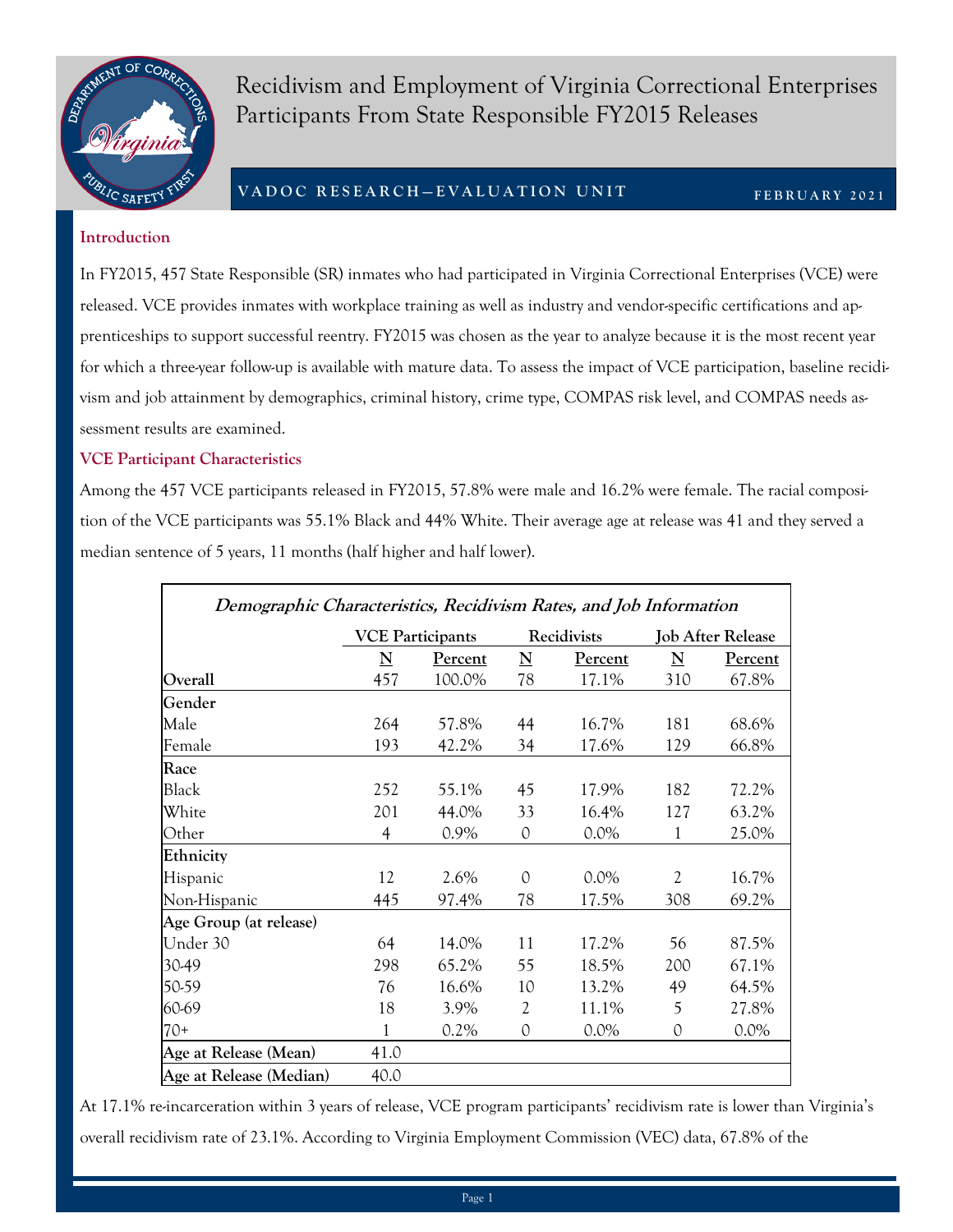

Recidivism and Employment of Virginia Correctional Enterprises Participants From State Responsible FY2015 Releases

# **V A D O C R E S E A R C H — E V A L U A T I O N U N I T**

**F E B R U A R Y 2 0 2 1**

#### **Introduction**

In FY2015, 457 State Responsible (SR) inmates who had participated in Virginia Correctional Enterprises (VCE) were released. VCE provides inmates with workplace training as well as industry and vendor-specific certifications and apprenticeships to support successful reentry. FY2015 was chosen as the year to analyze because it is the most recent year for which a three-year follow-up is available with mature data. To assess the impact of VCE participation, baseline recidivism and job attainment by demographics, criminal history, crime type, COMPAS risk level, and COMPAS needs assessment results are examined.

### **VCE Participant Characteristics**

Among the 457 VCE participants released in FY2015, 57.8% were male and 16.2% were female. The racial composition of the VCE participants was 55.1% Black and 44% White. Their average age at release was 41 and they served a median sentence of 5 years, 11 months (half higher and half lower).

| Demographic Characteristics, Recidivism Rates, and Job Information |                         |         |                         |                |                          |         |  |
|--------------------------------------------------------------------|-------------------------|---------|-------------------------|----------------|--------------------------|---------|--|
|                                                                    | <b>VCE Participants</b> |         | Recidivists             |                | <b>Job After Release</b> |         |  |
|                                                                    | ${\bf N}$               | Percent | $\overline{\mathbf{N}}$ | <b>Percent</b> | $\overline{\mathbf{N}}$  | Percent |  |
| Overall                                                            | 457                     | 100.0%  | 78                      | 17.1%          | 310                      | 67.8%   |  |
| Gender                                                             |                         |         |                         |                |                          |         |  |
| Male                                                               | 264                     | 57.8%   | 44                      | 16.7%          | 181                      | 68.6%   |  |
| Female                                                             | 193                     | 42.2%   | 34                      | 17.6%          | 129                      | 66.8%   |  |
| Race                                                               |                         |         |                         |                |                          |         |  |
| Black                                                              | 252                     | 55.1%   | 45                      | 17.9%          | 182                      | 72.2%   |  |
| White                                                              | 201                     | 44.0%   | 33                      | 16.4%          | 127                      | 63.2%   |  |
| Other                                                              | $\overline{4}$          | 0.9%    | 0                       | $0.0\%$        | 1                        | 25.0%   |  |
| Ethnicity                                                          |                         |         |                         |                |                          |         |  |
| Hispanic                                                           | 12                      | 2.6%    | 0                       | $0.0\%$        | 2                        | 16.7%   |  |
| Non-Hispanic                                                       | 445                     | 97.4%   | 78                      | 17.5%          | 308                      | 69.2%   |  |
| Age Group (at release)                                             |                         |         |                         |                |                          |         |  |
| Under 30                                                           | 64                      | 14.0%   | 11                      | 17.2%          | 56                       | 87.5%   |  |
| 30-49                                                              | 298                     | 65.2%   | 55                      | 18.5%          | 200                      | 67.1%   |  |
| 50-59                                                              | 76                      | 16.6%   | 10                      | 13.2%          | 49                       | 64.5%   |  |
| 60-69                                                              | 18                      | 3.9%    | 2                       | 11.1%          | 5                        | 27.8%   |  |
| $70+$                                                              | 1                       | $0.2\%$ | 0                       | $0.0\%$        | 0                        | $0.0\%$ |  |
| Age at Release (Mean)                                              | 41.0                    |         |                         |                |                          |         |  |
| Age at Release (Median)                                            | 40.0                    |         |                         |                |                          |         |  |

At 17.1% re-incarceration within 3 years of release, VCE program participants' recidivism rate is lower than Virginia's overall recidivism rate of 23.1%. According to Virginia Employment Commission (VEC) data, 67.8% of the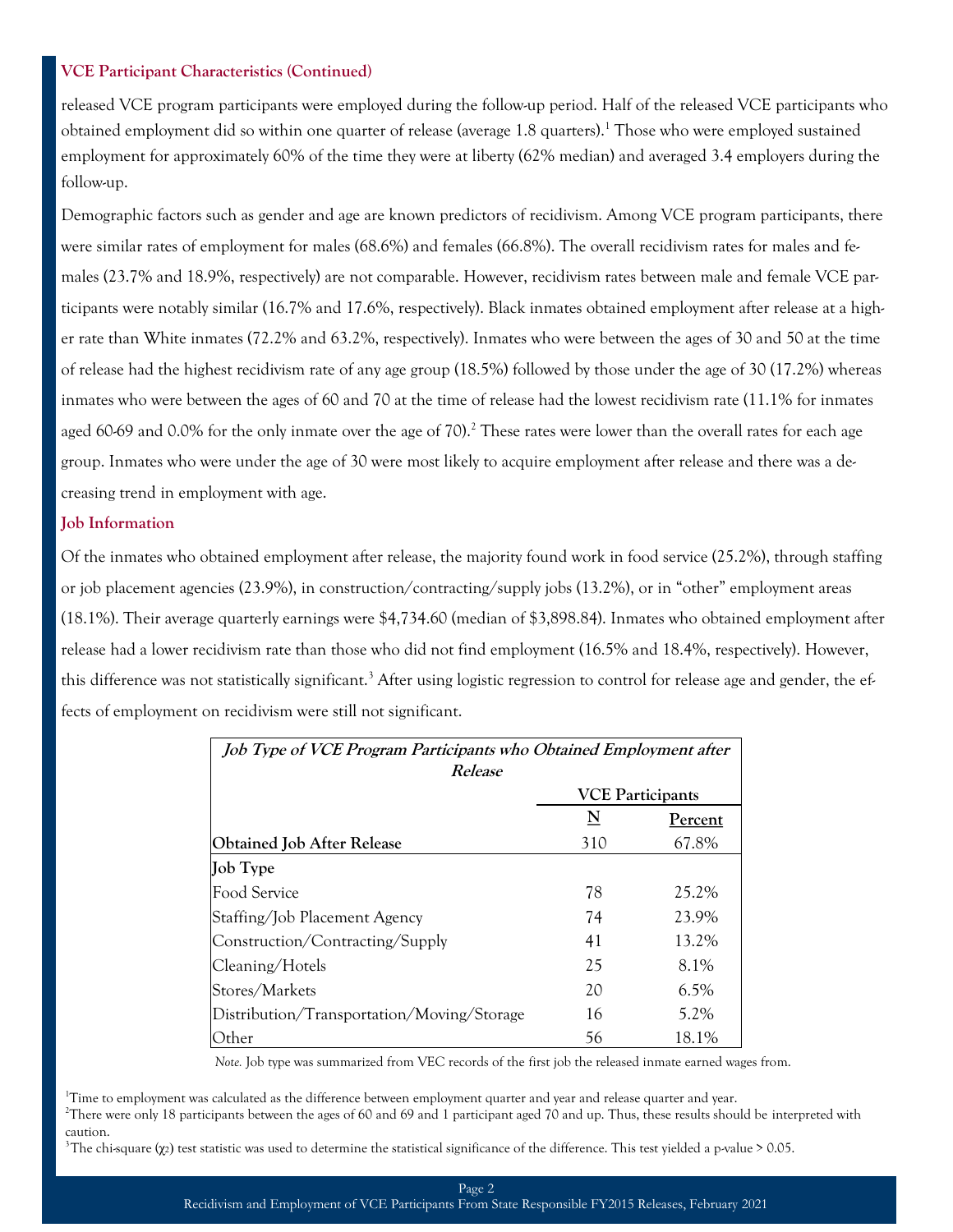#### **VCE Participant Characteristics (Continued)**

released VCE program participants were employed during the follow-up period. Half of the released VCE participants who obtained employment did so within one quarter of release (average 1.8 quarters).<sup>1</sup> Those who were employed sustained employment for approximately 60% of the time they were at liberty (62% median) and averaged 3.4 employers during the follow-up.

Demographic factors such as gender and age are known predictors of recidivism. Among VCE program participants, there were similar rates of employment for males (68.6%) and females (66.8%). The overall recidivism rates for males and females (23.7% and 18.9%, respectively) are not comparable. However, recidivism rates between male and female VCE participants were notably similar (16.7% and 17.6%, respectively). Black inmates obtained employment after release at a higher rate than White inmates (72.2% and 63.2%, respectively). Inmates who were between the ages of 30 and 50 at the time of release had the highest recidivism rate of any age group (18.5%) followed by those under the age of 30 (17.2%) whereas inmates who were between the ages of 60 and 70 at the time of release had the lowest recidivism rate (11.1% for inmates aged 60-69 and 0.0% for the only inmate over the age of 70).<sup>2</sup> These rates were lower than the overall rates for each age group. Inmates who were under the age of 30 were most likely to acquire employment after release and there was a decreasing trend in employment with age.

#### **Job Information**

Of the inmates who obtained employment after release, the majority found work in food service (25.2%), through staffing or job placement agencies (23.9%), in construction/contracting/supply jobs (13.2%), or in "other" employment areas (18.1%). Their average quarterly earnings were \$4,734.60 (median of \$3,898.84). Inmates who obtained employment after release had a lower recidivism rate than those who did not find employment (16.5% and 18.4%, respectively). However, this difference was not statistically significant.<sup>3</sup> After using logistic regression to control for release age and gender, the effects of employment on recidivism were still not significant.

| Job Type of VCE Program Participants who Obtained Employment after<br>Release |                         |                |  |  |  |
|-------------------------------------------------------------------------------|-------------------------|----------------|--|--|--|
|                                                                               | <b>VCE Participants</b> |                |  |  |  |
|                                                                               | $\overline{\mathbf{N}}$ | <b>Percent</b> |  |  |  |
| <b>Obtained Job After Release</b>                                             | 310                     | 67.8%          |  |  |  |
| Job Type                                                                      |                         |                |  |  |  |
| Food Service                                                                  | 78                      | 25.2%          |  |  |  |
| Staffing/Job Placement Agency                                                 | 74                      | 23.9%          |  |  |  |
| Construction/Contracting/Supply                                               | 41                      | 13.2%          |  |  |  |
| Cleaning/Hotels                                                               | 25                      | 8.1%           |  |  |  |
| Stores/Markets                                                                | 20                      | $6.5\%$        |  |  |  |
| Distribution/Transportation/Moving/Storage                                    | 16                      | 5.2%           |  |  |  |
| Other                                                                         | 56                      | 18.1%          |  |  |  |

*Note.* Job type was summarized from VEC records of the first job the released inmate earned wages from.

<sup>1</sup>Time to employment was calculated as the difference between employment quarter and year and release quarter and year.

<sup>2</sup>There were only 18 participants between the ages of 60 and 69 and 1 participant aged 70 and up. Thus, these results should be interpreted with caution.

<sup>3</sup>The chi-square ( $\chi$ 2) test statistic was used to determine the statistical significance of the difference. This test yielded a p-value > 0.05.

#### Page 2 Recidivism and Employment of VCE Participants From State Responsible FY2015 Releases, February 2021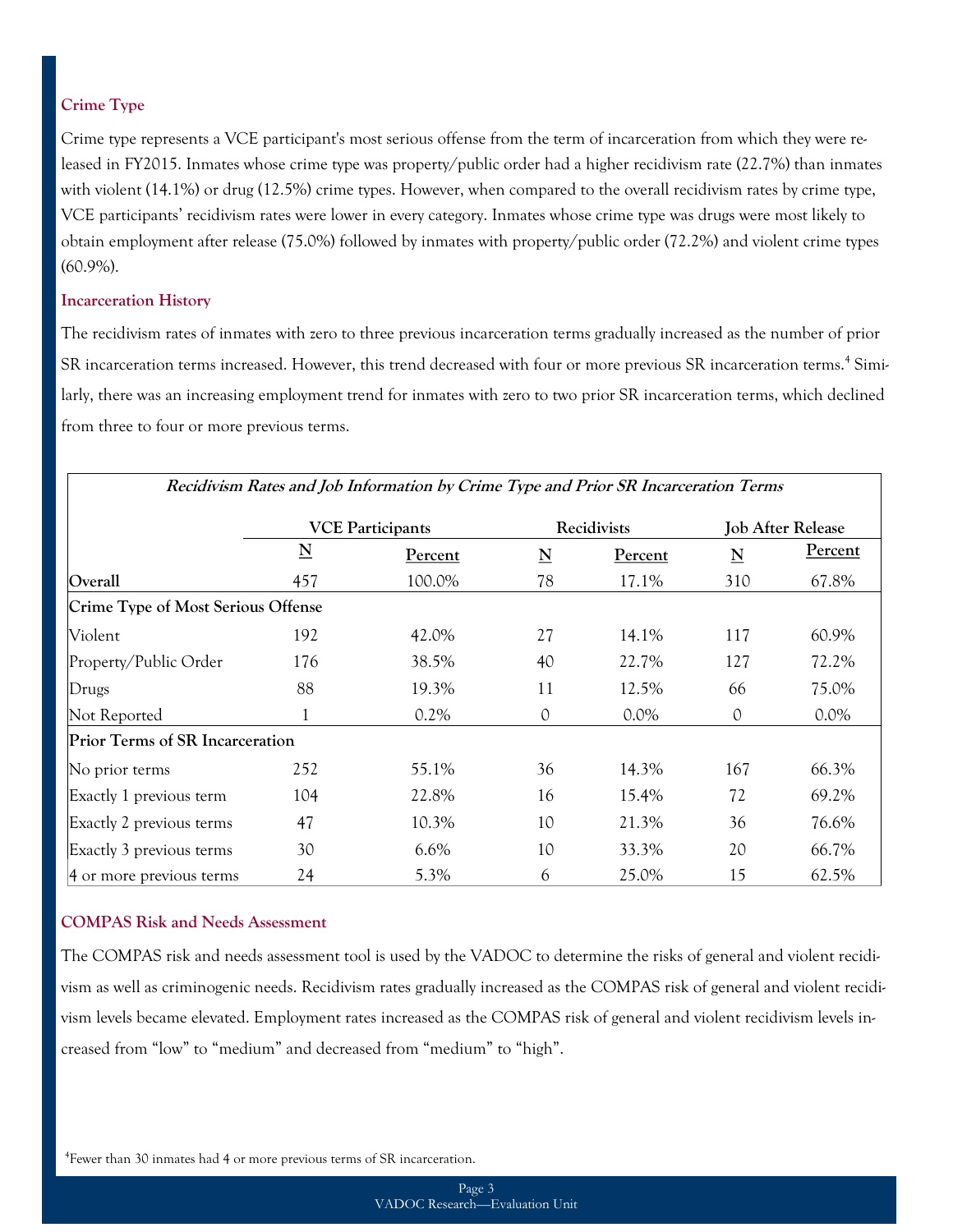## **Crime Type**

Crime type represents a VCE participant's most serious offense from the term of incarceration from which they were released in FY2015. Inmates whose crime type was property/public order had a higher recidivism rate (22.7%) than inmates with violent (14.1%) or drug (12.5%) crime types. However, when compared to the overall recidivism rates by crime type, VCE participants' recidivism rates were lower in every category. Inmates whose crime type was drugs were most likely to obtain employment after release (75.0%) followed by inmates with property/public order (72.2%) and violent crime types (60.9%).

#### **Incarceration History**

The recidivism rates of inmates with zero to three previous incarceration terms gradually increased as the number of prior SR incarceration terms increased. However, this trend decreased with four or more previous SR incarceration terms.<sup>4</sup> Similarly, there was an increasing employment trend for inmates with zero to two prior SR incarceration terms, which declined from three to four or more previous terms.

| Reclaivishi Kates and job information by Crime Type and Frior SK incarceration Terms |                         |         |                         |             |                          |                |  |  |
|--------------------------------------------------------------------------------------|-------------------------|---------|-------------------------|-------------|--------------------------|----------------|--|--|
|                                                                                      | <b>VCE Participants</b> |         |                         | Recidivists | <b>Job After Release</b> |                |  |  |
|                                                                                      | $\overline{\mathbf{N}}$ | Percent | $\overline{\mathbf{N}}$ | Percent     | $\mathbf N$              | <u>Percent</u> |  |  |
| Overall                                                                              | 457                     | 100.0%  | 78                      | 17.1%       | 310                      | 67.8%          |  |  |
| Crime Type of Most Serious Offense                                                   |                         |         |                         |             |                          |                |  |  |
| Violent                                                                              | 192                     | 42.0%   | 27                      | 14.1%       | 117                      | 60.9%          |  |  |
| Property/Public Order                                                                | 176                     | 38.5%   | 40                      | 22.7%       | 127                      | 72.2%          |  |  |
| Drugs                                                                                | 88                      | 19.3%   | 11                      | 12.5%       | 66                       | 75.0%          |  |  |
| Not Reported                                                                         |                         | $0.2\%$ | 0                       | $0.0\%$     | 0                        | $0.0\%$        |  |  |
| Prior Terms of SR Incarceration                                                      |                         |         |                         |             |                          |                |  |  |
| No prior terms                                                                       | 252                     | 55.1%   | 36                      | 14.3%       | 167                      | 66.3%          |  |  |
| Exactly 1 previous term                                                              | 104                     | 22.8%   | 16                      | 15.4%       | 72                       | 69.2%          |  |  |
| Exactly 2 previous terms                                                             | 47                      | 10.3%   | 10                      | 21.3%       | 36                       | 76.6%          |  |  |
| Exactly 3 previous terms                                                             | 30                      | 6.6%    | 10                      | 33.3%       | 20                       | 66.7%          |  |  |
| 4 or more previous terms                                                             | 24                      | 5.3%    | 6                       | 25.0%       | 15                       | 62.5%          |  |  |

# **Recidivism Rates and Job Information by Crime Type and Prior SR Incarceration Terms**

## **COMPAS Risk and Needs Assessment**

The COMPAS risk and needs assessment tool is used by the VADOC to determine the risks of general and violent recidivism as well as criminogenic needs. Recidivism rates gradually increased as the COMPAS risk of general and violent recidivism levels became elevated. Employment rates increased as the COMPAS risk of general and violent recidivism levels increased from "low" to "medium" and decreased from "medium" to "high".

4 Fewer than 30 inmates had 4 or more previous terms of SR incarceration.